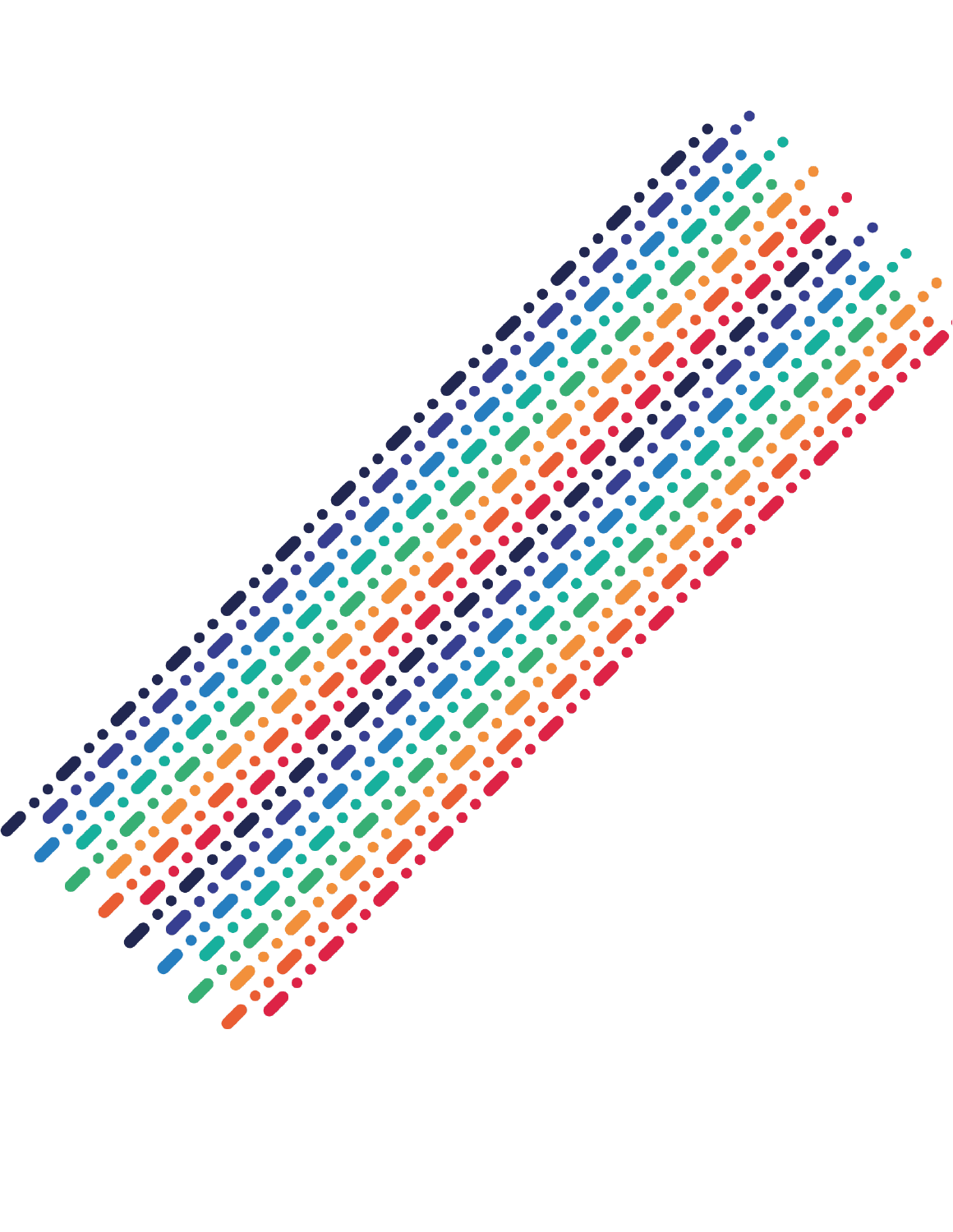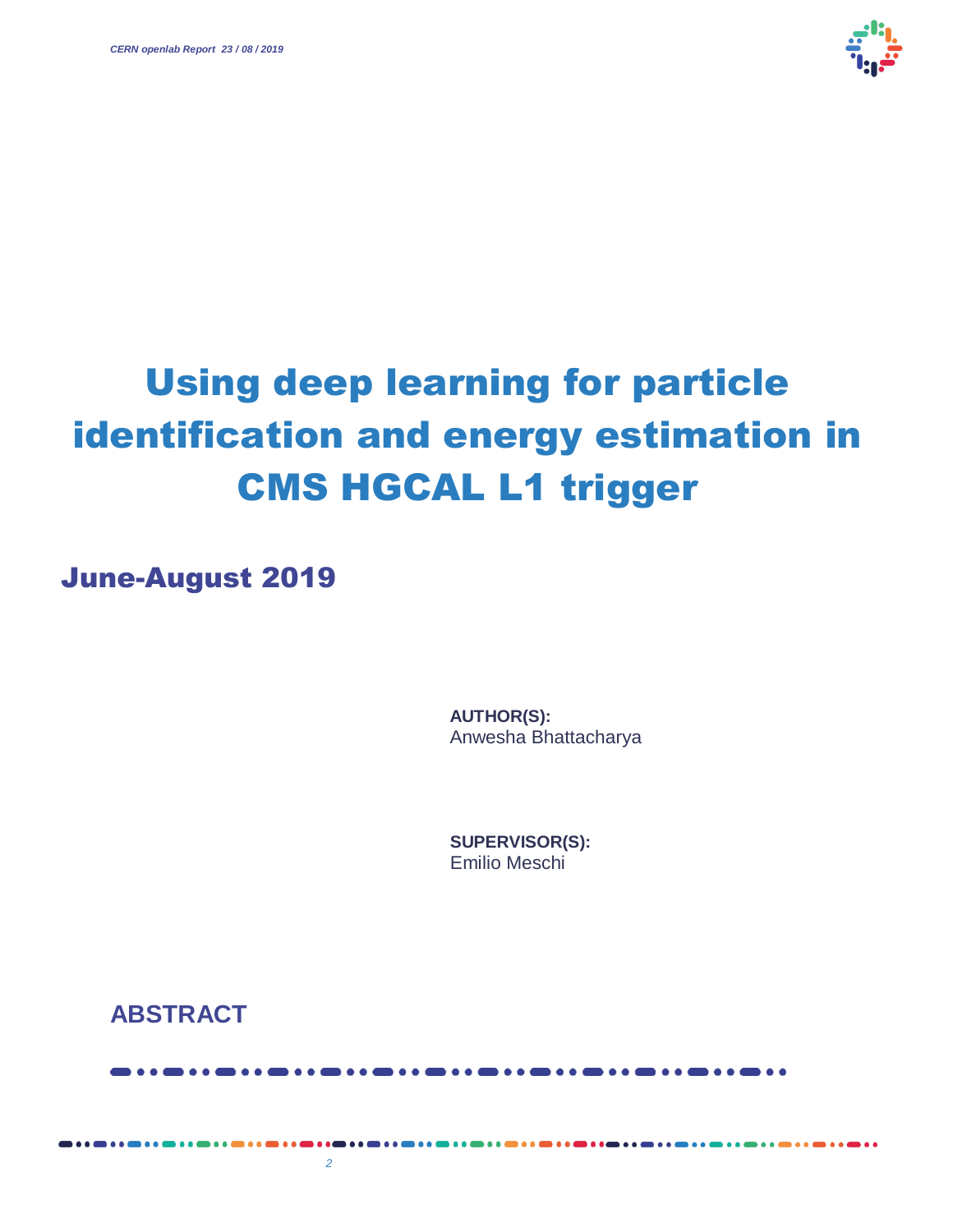

# Using deep learning for particle identification and energy estimation in CMS HGCAL L1 trigger

June-August 2019

**AUTHOR(S):** Anwesha Bhattacharya

**SUPERVISOR(S):** Emilio Meschi

# **ABSTRACT**

. . . . . . .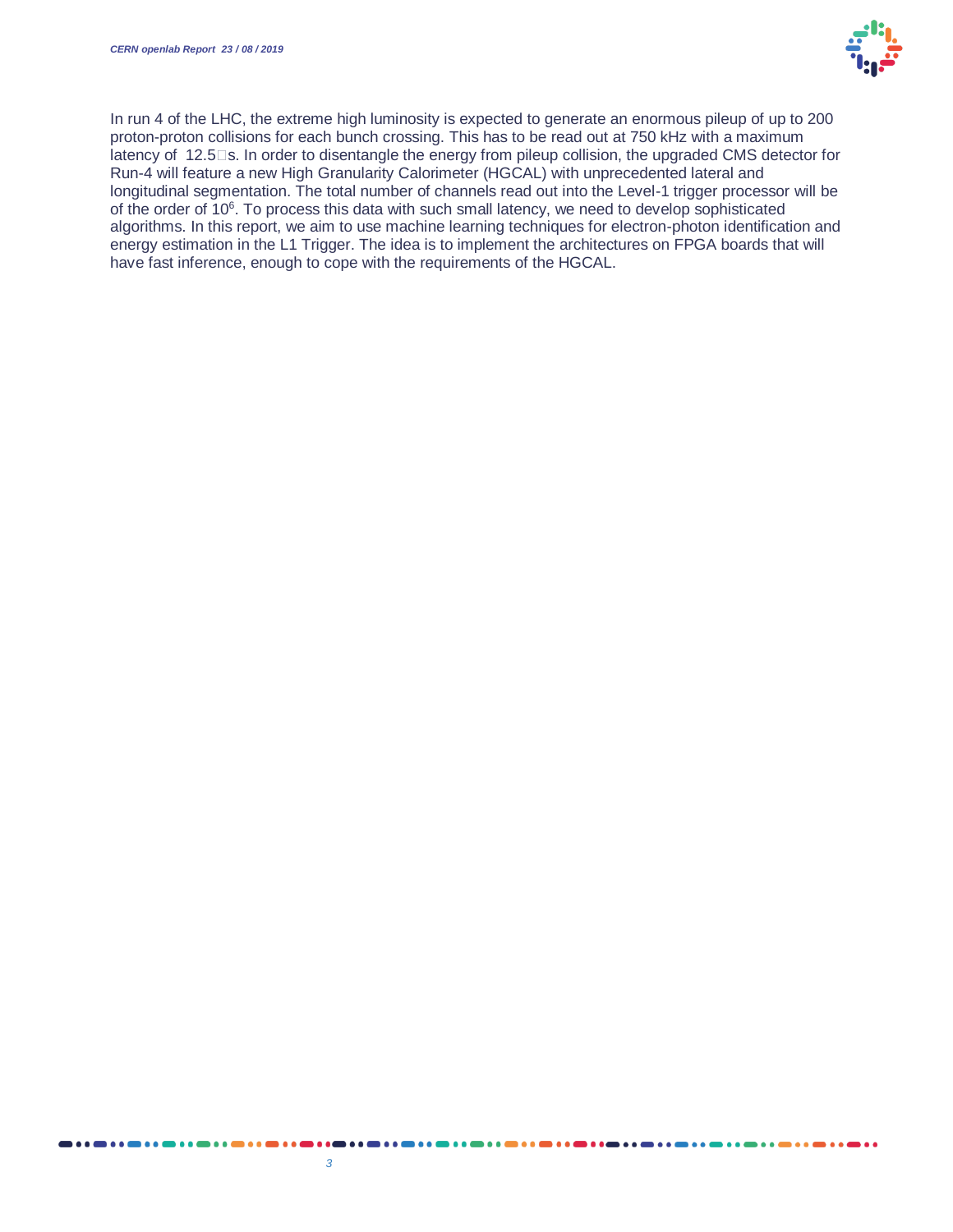

In run 4 of the LHC, the extreme high luminosity is expected to generate an enormous pileup of up to 200 proton-proton collisions for each bunch crossing. This has to be read out at 750 kHz with a maximum latency of 12.5<sup>1</sup>s. In order to disentangle the energy from pileup collision, the upgraded CMS detector for Run-4 will feature a new High Granularity Calorimeter (HGCAL) with unprecedented lateral and longitudinal segmentation. The total number of channels read out into the Level-1 trigger processor will be of the order of 10<sup>6</sup>. To process this data with such small latency, we need to develop sophisticated algorithms. In this report, we aim to use machine learning techniques for electron-photon identification and energy estimation in the L1 Trigger. The idea is to implement the architectures on FPGA boards that will have fast inference, enough to cope with the requirements of the HGCAL.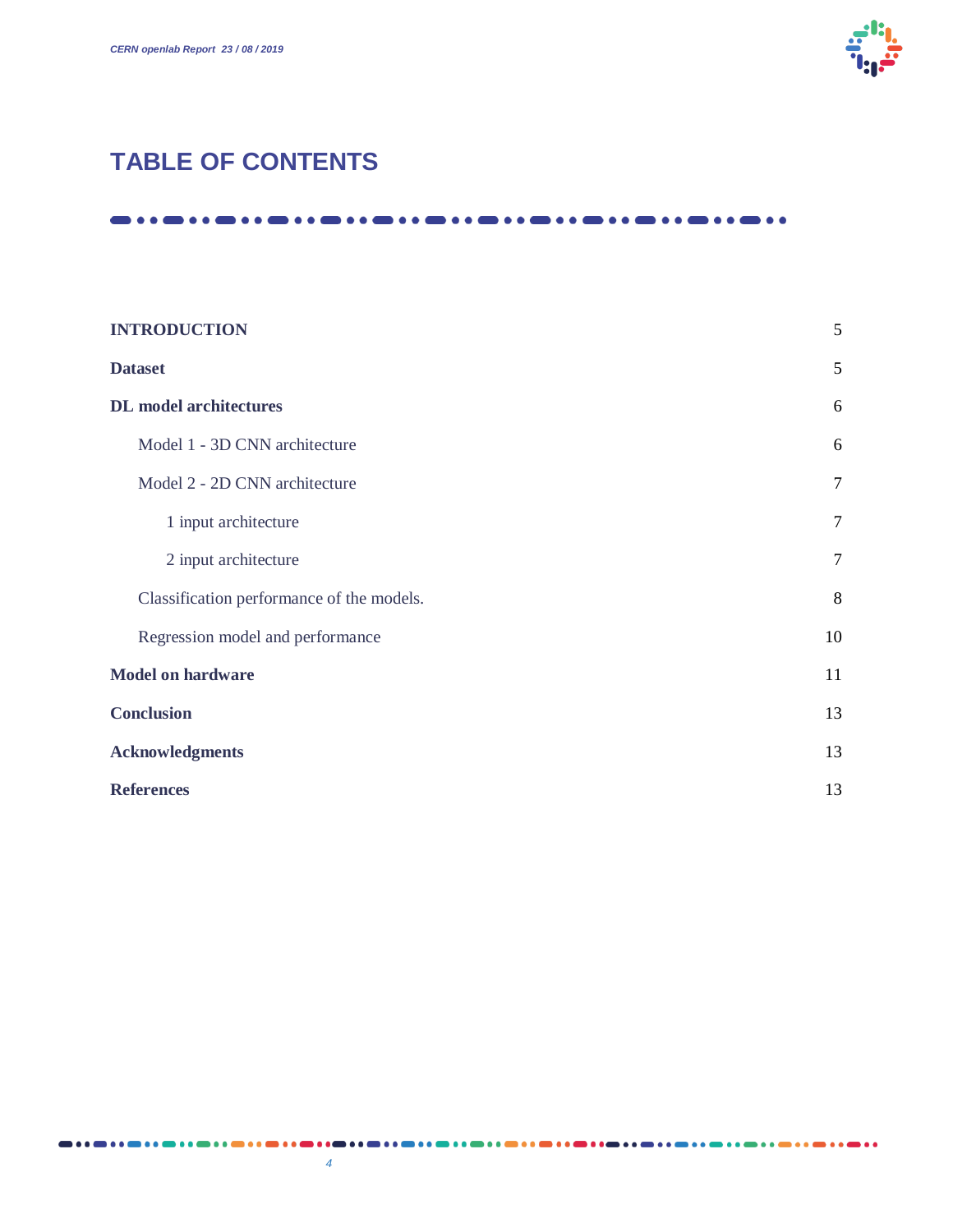

# **TABLE OF CONTENTS**

**BIIBIIBIIBIIBIIBIIE** . . . . . . . **. . . . . . . . . . .** . . 4  $\bullet \bullet$ 

| <b>INTRODUCTION</b>                       | 5              |
|-------------------------------------------|----------------|
| <b>Dataset</b>                            | 5              |
| <b>DL</b> model architectures             | 6              |
| Model 1 - 3D CNN architecture             | 6              |
| Model 2 - 2D CNN architecture             | $\overline{7}$ |
| 1 input architecture                      | $\tau$         |
| 2 input architecture                      | $\overline{7}$ |
| Classification performance of the models. | 8              |
| Regression model and performance          | 10             |
| <b>Model on hardware</b>                  | 11             |
| <b>Conclusion</b>                         | 13             |
| <b>Acknowledgments</b>                    | 13             |
| <b>References</b>                         | 13             |

--------------------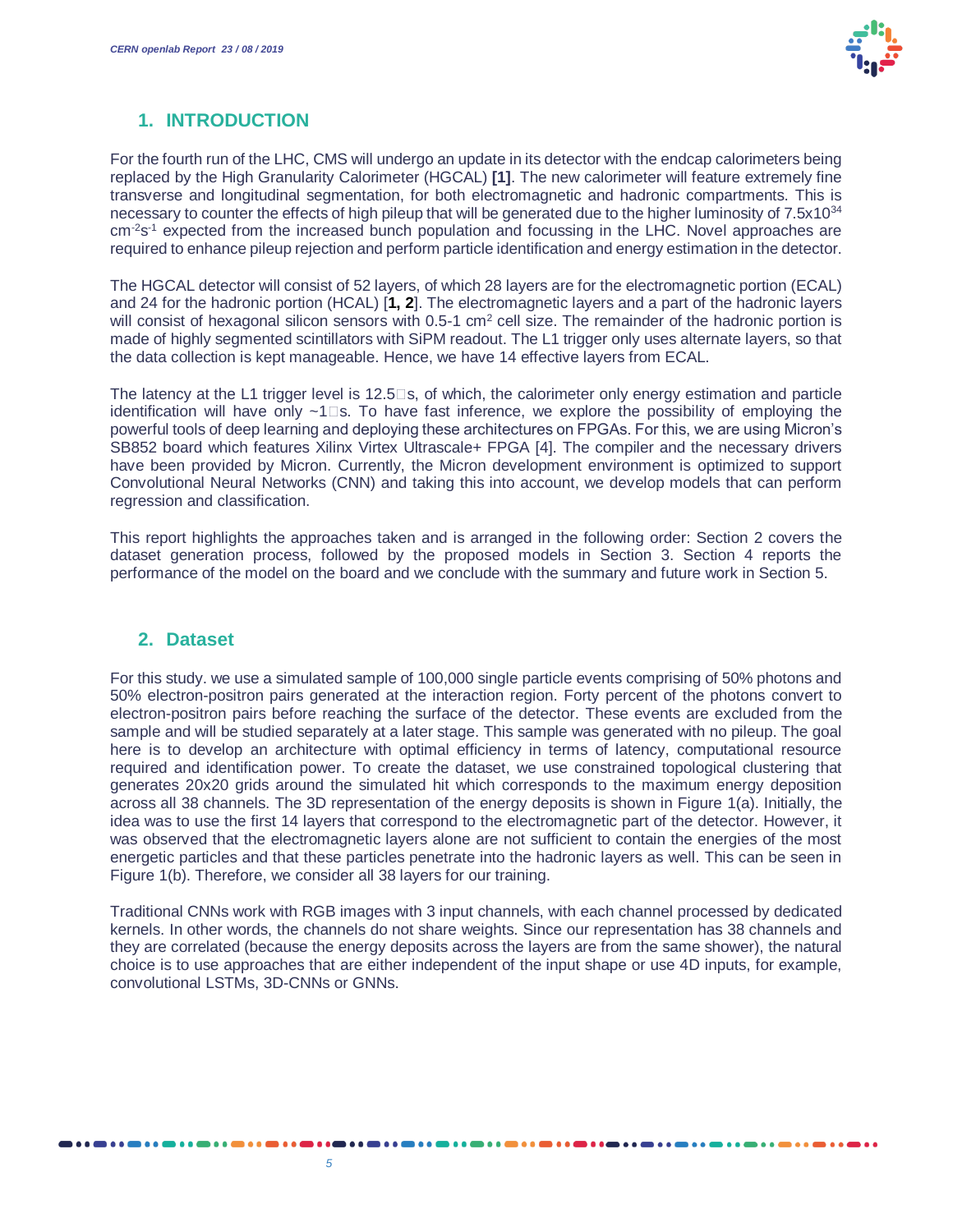

# <span id="page-4-0"></span>**1. INTRODUCTION**

For the fourth run of the LHC, CMS will undergo an update in its detector with the endcap calorimeters being replaced by the High Granularity Calorimeter (HGCAL) **[1]**. The new calorimeter will feature extremely fine transverse and longitudinal segmentation, for both electromagnetic and hadronic compartments. This is necessary to counter the effects of high pileup that will be generated due to the higher luminosity of 7.5x10<sup>34</sup> cm<sup>-2</sup>s<sup>-1</sup> expected from the increased bunch population and focussing in the LHC. Novel approaches are required to enhance pileup rejection and perform particle identification and energy estimation in the detector.

The HGCAL detector will consist of 52 layers, of which 28 layers are for the electromagnetic portion (ECAL) and 24 for the hadronic portion (HCAL) [**1, 2**]. The electromagnetic layers and a part of the hadronic layers will consist of hexagonal silicon sensors with  $0.5$ -1 cm<sup>2</sup> cell size. The remainder of the hadronic portion is made of highly segmented scintillators with SiPM readout. The L1 trigger only uses alternate layers, so that the data collection is kept manageable. Hence, we have 14 effective layers from ECAL.

The latency at the L1 trigger level is 12.5 $\square$ s, of which, the calorimeter only energy estimation and particle identification will have only  $\sim1$  is. To have fast inference, we explore the possibility of employing the powerful tools of deep learning and deploying these architectures on FPGAs. For this, we are using Micron's SB852 board which features Xilinx Virtex Ultrascale+ FPGA [4]. The compiler and the necessary drivers have been provided by Micron. Currently, the Micron development environment is optimized to support Convolutional Neural Networks (CNN) and taking this into account, we develop models that can perform regression and classification.

This report highlights the approaches taken and is arranged in the following order: Section 2 covers the dataset generation process, followed by the proposed models in Section 3. Section 4 reports the performance of the model on the board and we conclude with the summary and future work in Section 5.

# <span id="page-4-1"></span>**2. Dataset**

For this study. we use a simulated sample of 100,000 single particle events comprising of 50% photons and 50% electron-positron pairs generated at the interaction region. Forty percent of the photons convert to electron-positron pairs before reaching the surface of the detector. These events are excluded from the sample and will be studied separately at a later stage. This sample was generated with no pileup. The goal here is to develop an architecture with optimal efficiency in terms of latency, computational resource required and identification power. To create the dataset, we use constrained topological clustering that generates 20x20 grids around the simulated hit which corresponds to the maximum energy deposition across all 38 channels. The 3D representation of the energy deposits is shown in Figure 1(a). Initially, the idea was to use the first 14 layers that correspond to the electromagnetic part of the detector. However, it was observed that the electromagnetic layers alone are not sufficient to contain the energies of the most energetic particles and that these particles penetrate into the hadronic layers as well. This can be seen in Figure 1(b). Therefore, we consider all 38 layers for our training.

Traditional CNNs work with RGB images with 3 input channels, with each channel processed by dedicated kernels. In other words, the channels do not share weights. Since our representation has 38 channels and they are correlated (because the energy deposits across the layers are from the same shower), the natural choice is to use approaches that are either independent of the input shape or use 4D inputs, for example, convolutional LSTMs, 3D-CNNs or GNNs.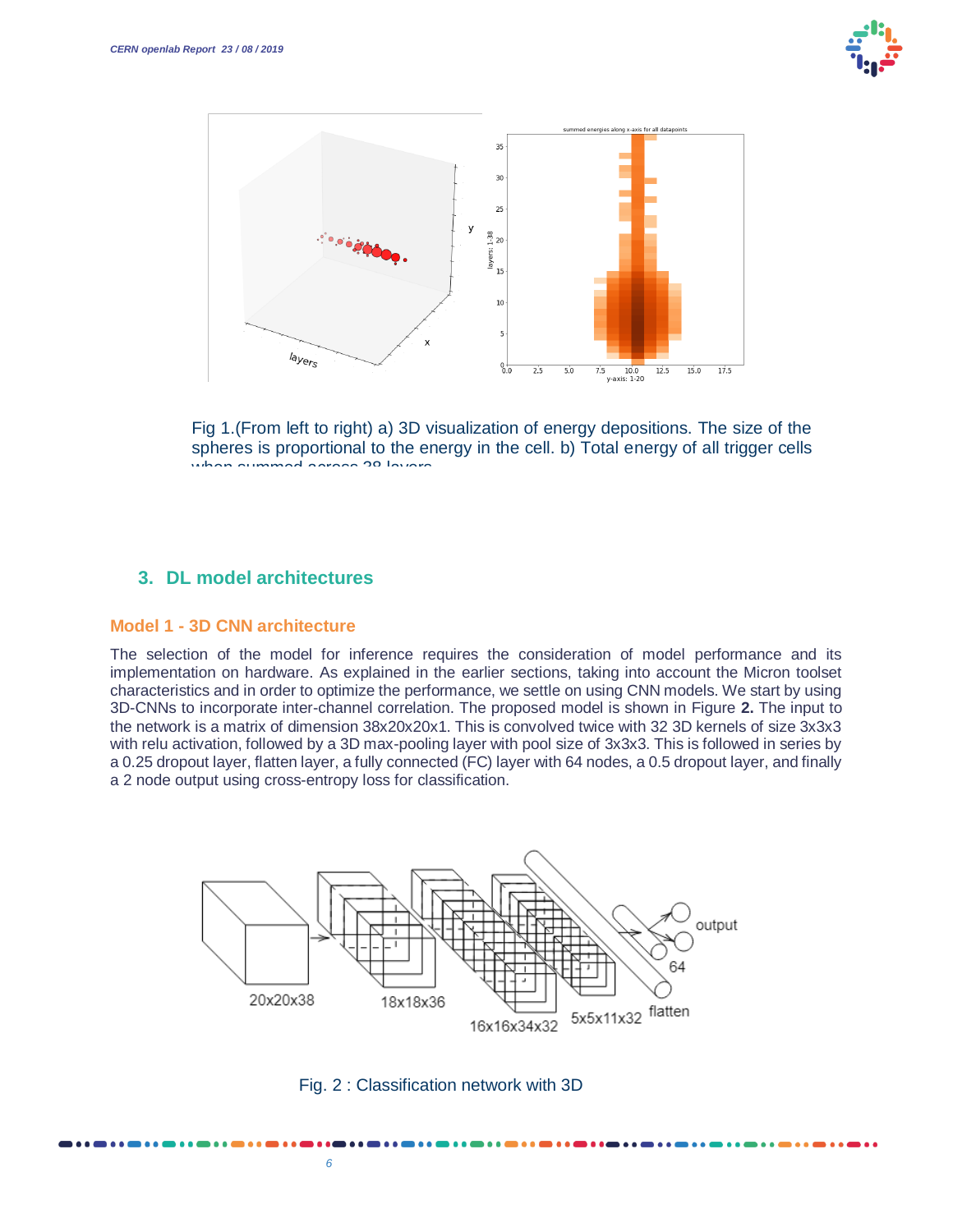



Fig 1.(From left to right) a) 3D visualization of energy depositions. The size of the spheres is proportional to the energy in the cell. b) Total energy of all trigger cells waxaa 90 layeen

# <span id="page-5-0"></span>**3. DL model architectures**

### <span id="page-5-1"></span>**Model 1 - 3D CNN architecture**

The selection of the model for inference requires the consideration of model performance and its implementation on hardware. As explained in the earlier sections, taking into account the Micron toolset characteristics and in order to optimize the performance, we settle on using CNN models. We start by using 3D-CNNs to incorporate inter-channel correlation. The proposed model is shown in Figure **2.** The input to the network is a matrix of dimension 38x20x20x1. This is convolved twice with 32 3D kernels of size 3x3x3 with relu activation, followed by a 3D max-pooling layer with pool size of 3x3x3. This is followed in series by a 0.25 dropout layer, flatten layer, a fully connected (FC) layer with 64 nodes, a 0.5 dropout layer, and finally a 2 node output using cross-entropy loss for classification.



Fig. 2 : Classification network with 3D

*6*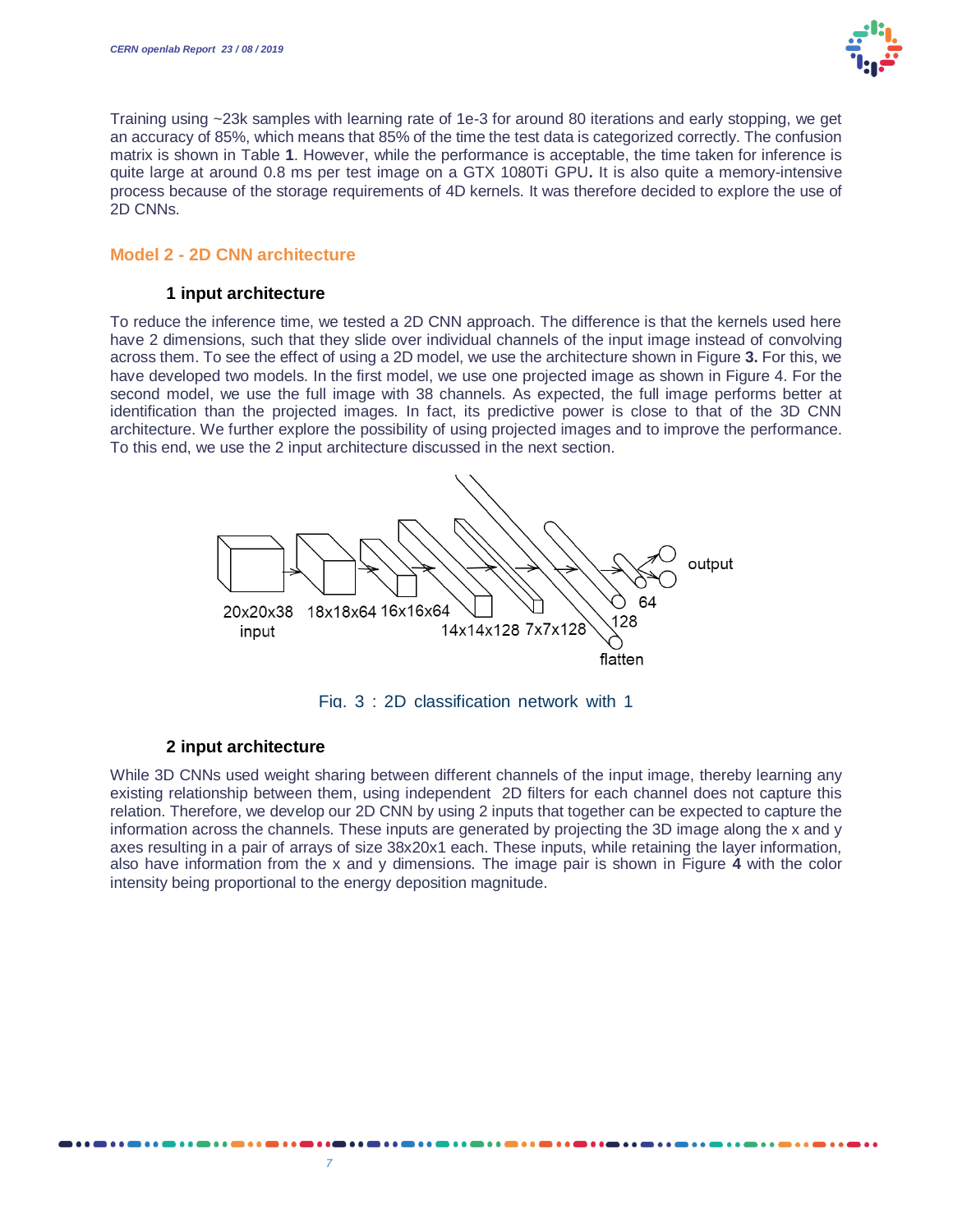

Training using ~23k samples with learning rate of 1e-3 for around 80 iterations and early stopping, we get an accuracy of 85%, which means that 85% of the time the test data is categorized correctly. The confusion matrix is shown in Table **1**. However, while the performance is acceptable, the time taken for inference is quite large at around 0.8 ms per test image on a GTX 1080Ti GPU**.** It is also quite a memory-intensive process because of the storage requirements of 4D kernels. It was therefore decided to explore the use of 2D CNNs.

#### <span id="page-6-1"></span><span id="page-6-0"></span>**Model 2 - 2D CNN architecture**

#### **1 input architecture**

To reduce the inference time, we tested a 2D CNN approach. The difference is that the kernels used here have 2 dimensions, such that they slide over individual channels of the input image instead of convolving across them. To see the effect of using a 2D model, we use the architecture shown in Figure **3.** For this, we have developed two models. In the first model, we use one projected image as shown in Figure 4. For the second model, we use the full image with 38 channels. As expected, the full image performs better at identification than the projected images. In fact, its predictive power is close to that of the 3D CNN architecture. We further explore the possibility of using projected images and to improve the performance. To this end, we use the 2 input architecture discussed in the next section.



Fig. 3 : 2D classification network with 1

#### **2 input architecture**

<span id="page-6-2"></span>While 3D CNNs used weight sharing between different channels of the input image, thereby learning any existing relationship between them, using independent 2D filters for each channel does not capture this relation. Therefore, we develop our 2D CNN by using 2 inputs that together can be expected to capture the information across the channels. These inputs are generated by projecting the 3D image along the x and y axes resulting in a pair of arrays of size 38x20x1 each. These inputs, while retaining the layer information, also have information from the x and y dimensions. The image pair is shown in Figure **4** with the color intensity being proportional to the energy deposition magnitude.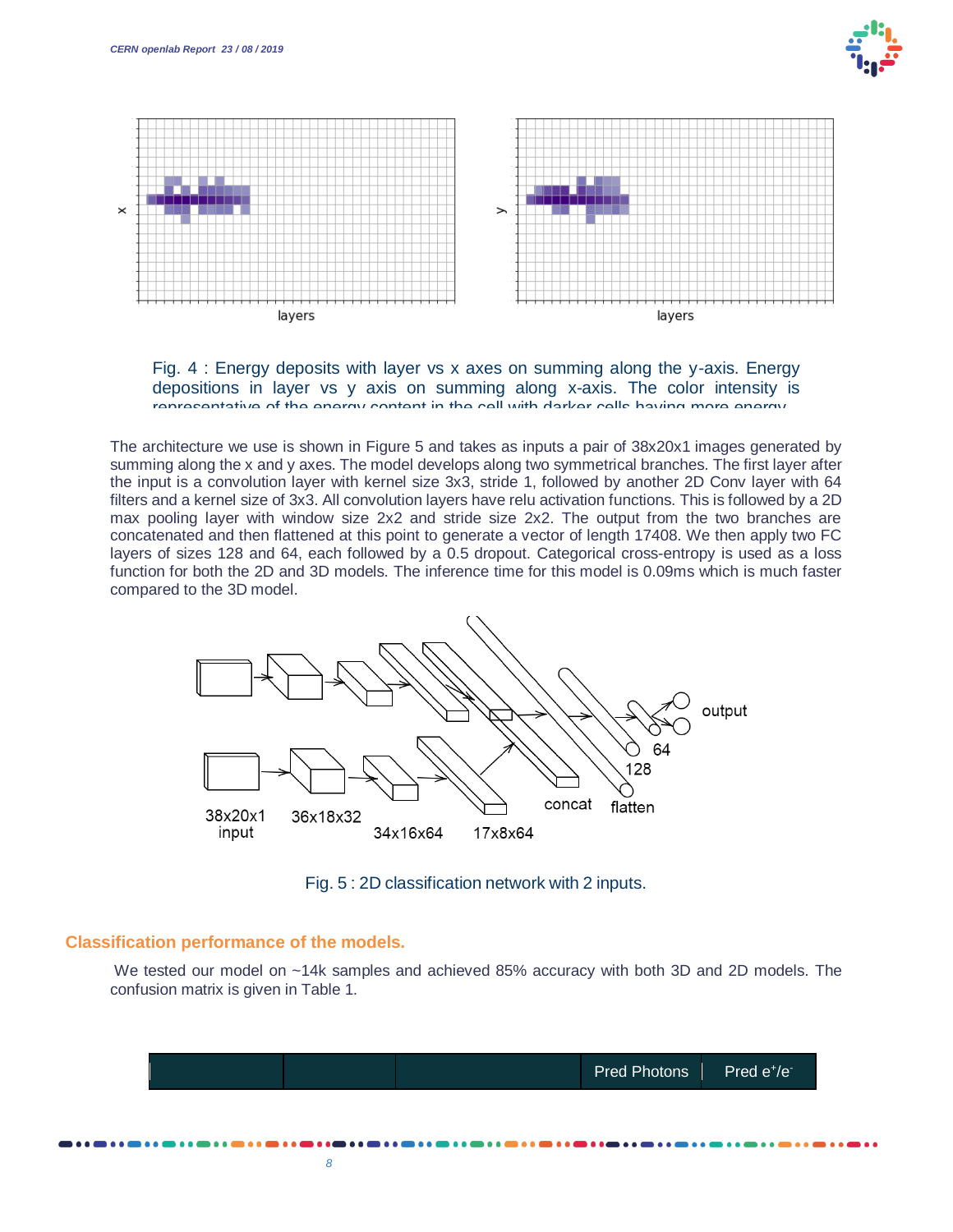



Fig. 4 : Energy deposits with layer vs x axes on summing along the y-axis. Energy depositions in layer vs y axis on summing along x-axis. The color intensity is representative of the energy content in the cell with darker cells having more energy.

The architecture we use is shown in Figure 5 and takes as inputs a pair of 38x20x1 images generated by summing along the x and y axes. The model develops along two symmetrical branches. The first layer after the input is a convolution layer with kernel size 3x3, stride 1, followed by another 2D Conv layer with 64 filters and a kernel size of 3x3. All convolution layers have relu activation functions. This is followed by a 2D max pooling layer with window size 2x2 and stride size 2x2. The output from the two branches are concatenated and then flattened at this point to generate a vector of length 17408. We then apply two FC layers of sizes 128 and 64, each followed by a 0.5 dropout. Categorical cross-entropy is used as a loss function for both the 2D and 3D models. The inference time for this model is 0.09ms which is much faster compared to the 3D model.



Fig. 5 : 2D classification network with 2 inputs.

# <span id="page-7-0"></span>**Classification performance of the models.**

We tested our model on ~14k samples and achieved 85% accuracy with both 3D and 2D models. The confusion matrix is given in Table 1.

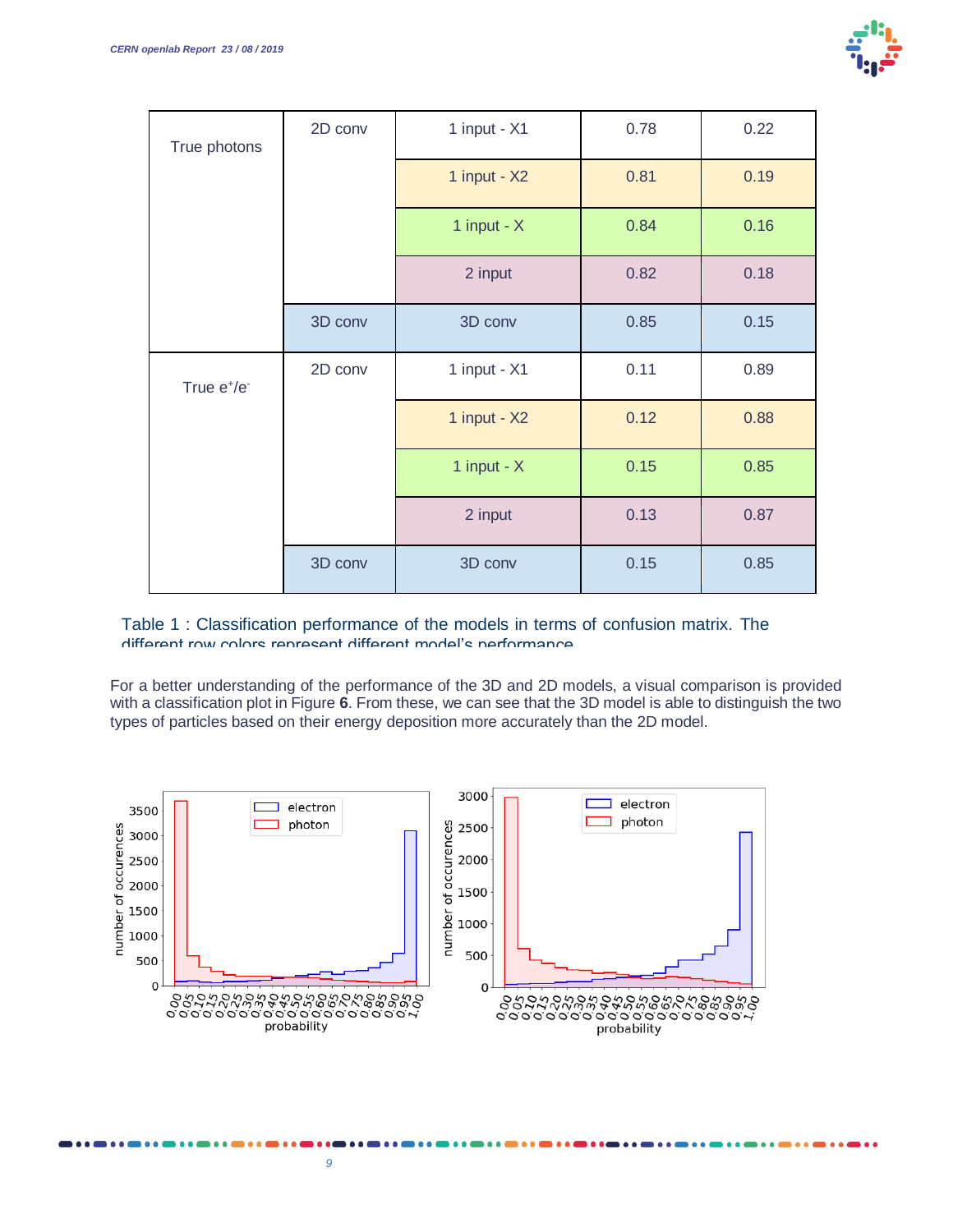

| True photons                        | 2D conv | 1 input - X1   | 0.78 | 0.22 |
|-------------------------------------|---------|----------------|------|------|
|                                     |         | 1 input - $X2$ | 0.81 | 0.19 |
|                                     |         | 1 input - $X$  | 0.84 | 0.16 |
|                                     |         | 2 input        | 0.82 | 0.18 |
|                                     | 3D conv | 3D conv        | 0.85 | 0.15 |
| True e <sup>+</sup> /e <sup>-</sup> | 2D conv | 1 input - X1   | 0.11 | 0.89 |
|                                     |         | 1 input - $X2$ | 0.12 | 0.88 |
|                                     |         | 1 input - $X$  | 0.15 | 0.85 |
|                                     |         | 2 input        | 0.13 | 0.87 |
|                                     | 3D conv | 3D conv        | 0.15 | 0.85 |

#### Table 1 : Classification performance of the models in terms of confusion matrix. The different row colors represent different model's performance.

For a better understanding of the performance of the 3D and 2D models, a visual comparison is provided with a classification plot in Figure **6**. From these, we can see that the 3D model is able to distinguish the two types of particles based on their energy deposition more accurately than the 2D model.

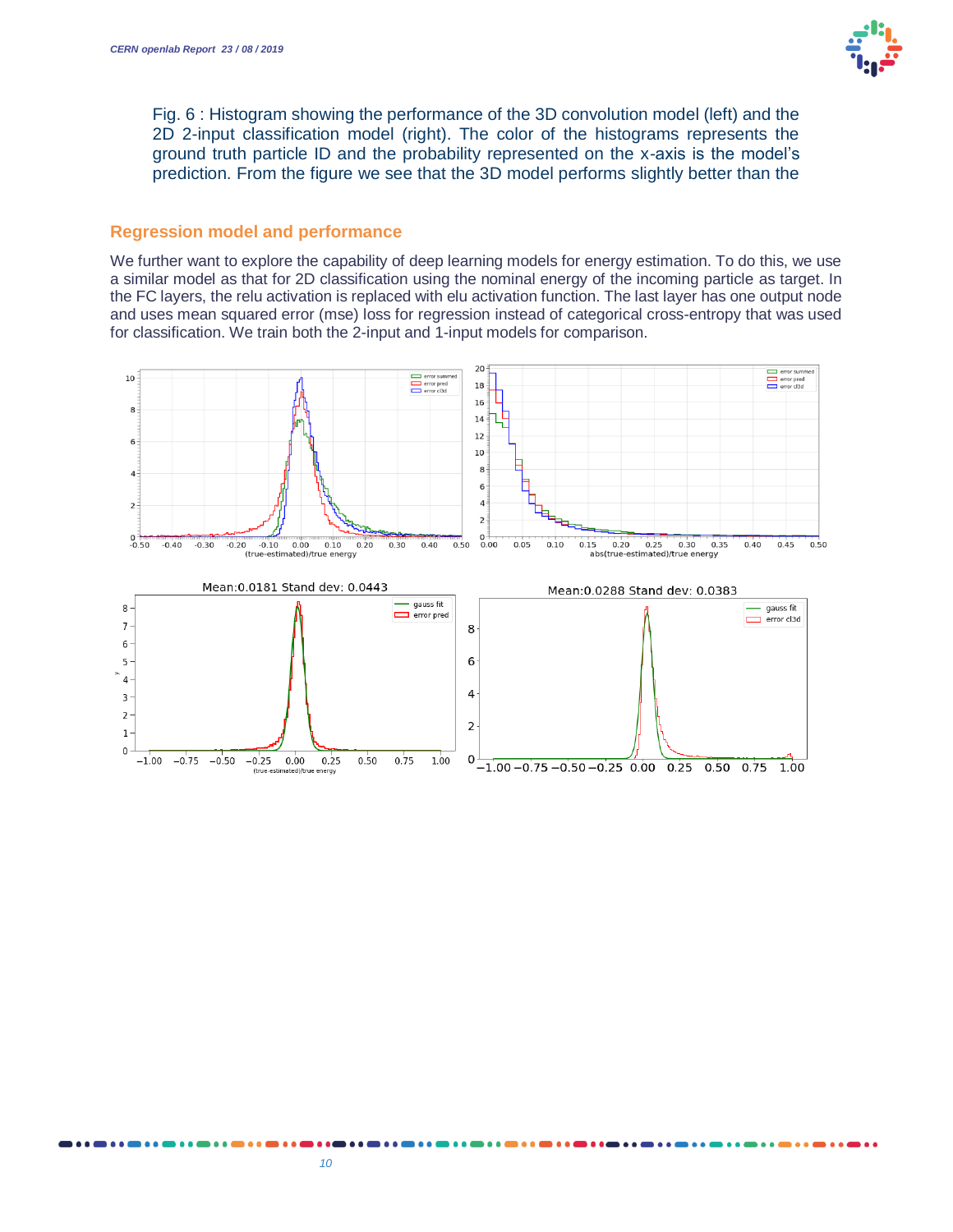

Fig. 6 : Histogram showing the performance of the 3D convolution model (left) and the 2D 2-input classification model (right). The color of the histograms represents the ground truth particle ID and the probability represented on the x-axis is the model's prediction. From the figure we see that the 3D model performs slightly better than the

#### <span id="page-9-0"></span>**Regression model and performance**

We further want to explore the capability of deep learning models for energy estimation. To do this, we use a similar model as that for 2D classification using the nominal energy of the incoming particle as target. In the FC layers, the relu activation is replaced with elu activation function. The last layer has one output node and uses mean squared error (mse) loss for regression instead of categorical cross-entropy that was used for classification. We train both the 2-input and 1-input models for comparison.

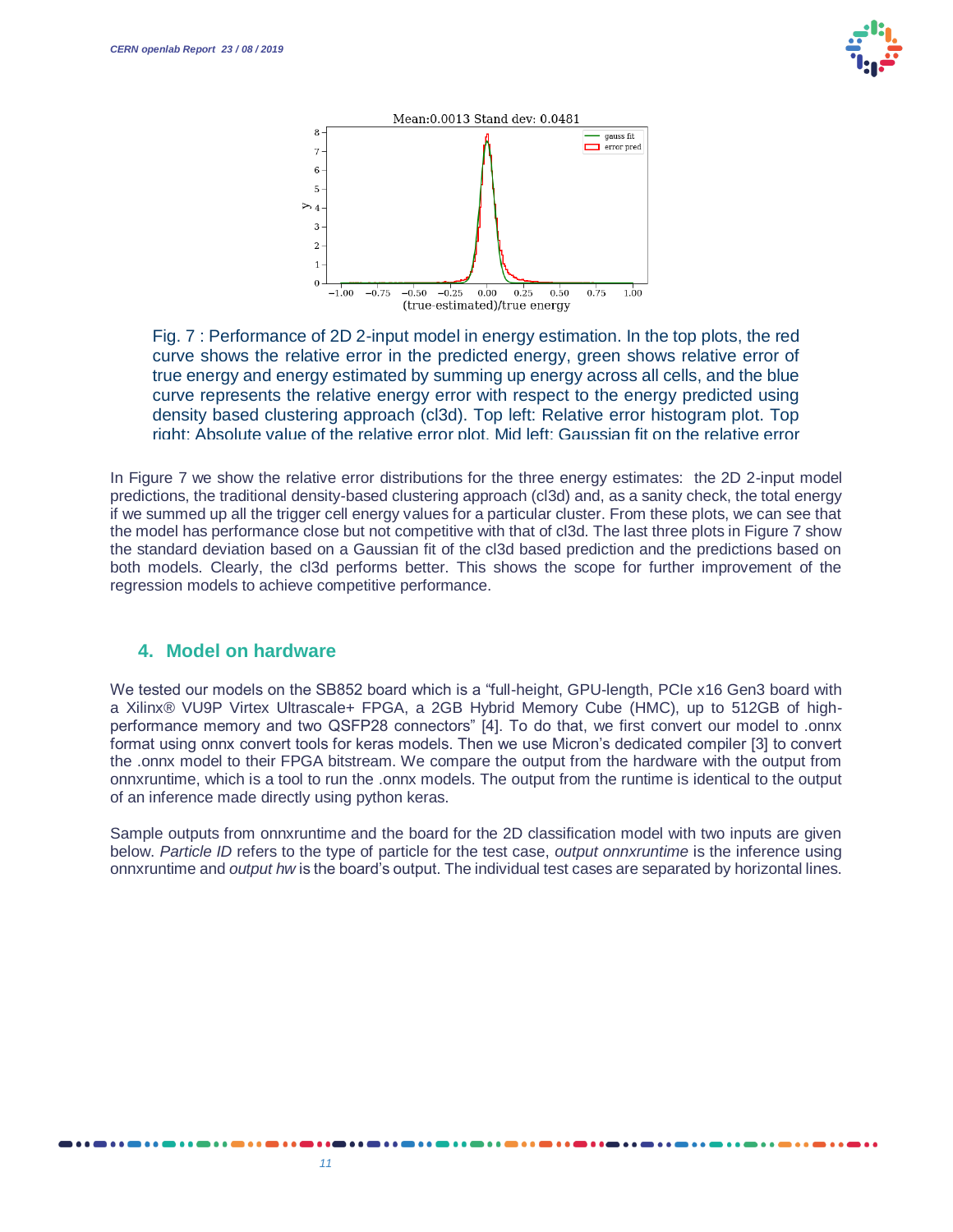



Fig. 7 : Performance of 2D 2-input model in energy estimation. In the top plots, the red curve shows the relative error in the predicted energy, green shows relative error of true energy and energy estimated by summing up energy across all cells, and the blue curve represents the relative energy error with respect to the energy predicted using density based clustering approach (cl3d). Top left: Relative error histogram plot. Top right: Absolute value of the relative error plot. Mid left: Gaussian fit on the relative error

In Figure 7 we show the relative error distributions for the three energy estimates: the 2D 2-input model predictions, the traditional density-based clustering approach (cl3d) and, as a sanity check, the total energy if we summed up all the trigger cell energy values for a particular cluster. From these plots, we can see that the model has performance close but not competitive with that of cl3d. The last three plots in Figure 7 show the standard deviation based on a Gaussian fit of the cl3d based prediction and the predictions based on both models. Clearly, the cl3d performs better. This shows the scope for further improvement of the regression models to achieve competitive performance.

### <span id="page-10-0"></span>**4. Model on hardware**

We tested our models on the SB852 board which is a "full-height, GPU-length, PCIe x16 Gen3 board with a Xilinx® VU9P Virtex Ultrascale+ FPGA, a 2GB Hybrid Memory Cube (HMC), up to 512GB of highperformance memory and two QSFP28 connectors" [4]. To do that, we first convert our model to .onnx format using onnx convert tools for keras models. Then we use Micron's dedicated compiler [3] to convert the .onnx model to their FPGA bitstream. We compare the output from the hardware with the output from onnxruntime, which is a tool to run the .onnx models. The output from the runtime is identical to the output of an inference made directly using python keras.

Sample outputs from onnxruntime and the board for the 2D classification model with two inputs are given below. *Particle ID* refers to the type of particle for the test case, *output onnxruntime* is the inference using onnxruntime and *output hw* is the board's output. The individual test cases are separated by horizontal lines.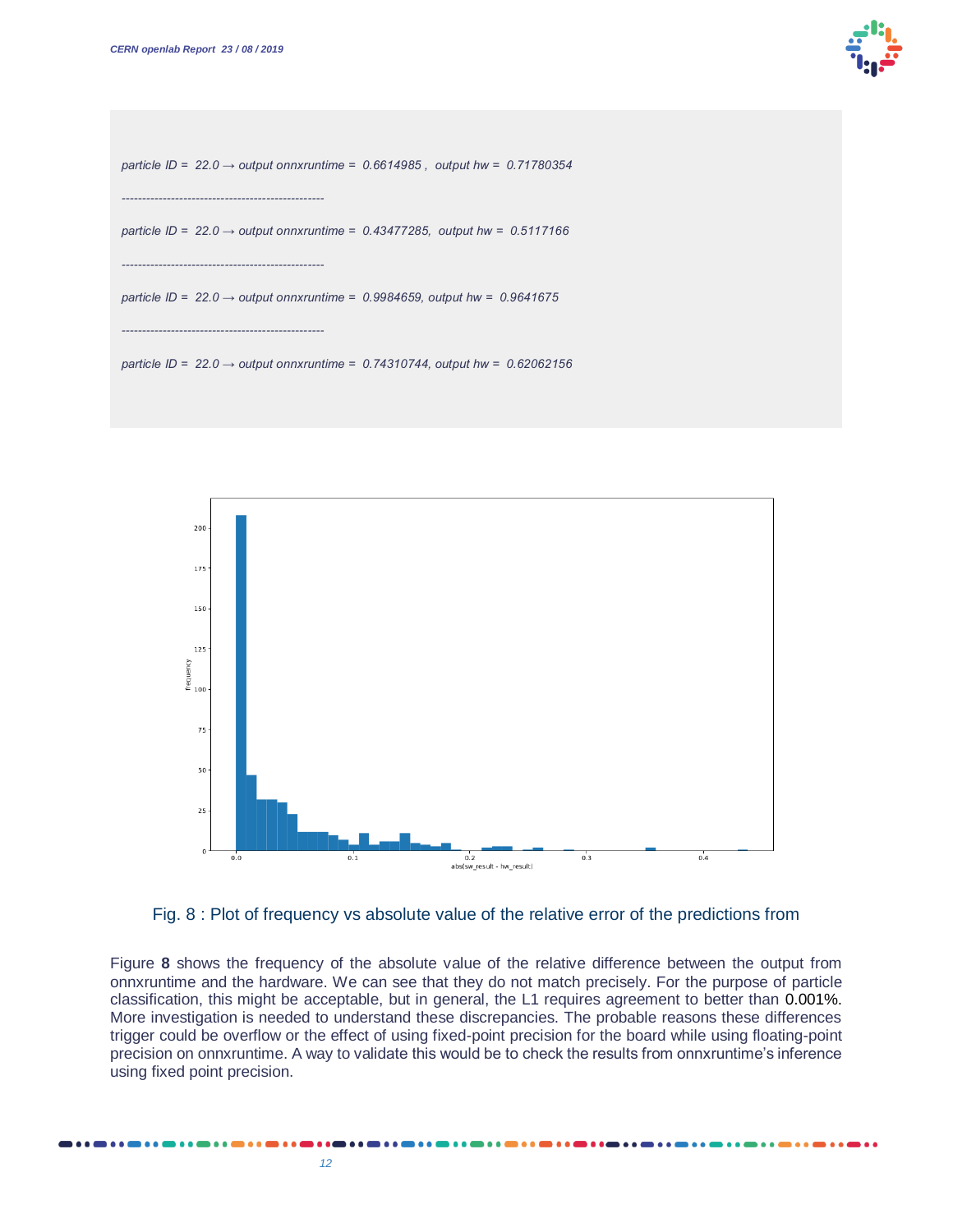*-------------------------------------------------*

*-------------------------------------------------*



*particle ID = 22.0 → output onnxruntime = 0.6614985 , output hw = 0.71780354 ------------------------------------------------ particle ID = 22.0 → output onnxruntime = 0.43477285, output hw = 0.5117166*

*particle ID = 22.0 → output onnxruntime = 0.9984659, output hw = 0.9641675*

*particle ID = 22.0 → output onnxruntime = 0.74310744, output hw = 0.62062156*



Fig. 8 : Plot of frequency vs absolute value of the relative error of the predictions from

Figure **8** shows the frequency of the absolute value of the relative difference between the output from onnxruntime and the hardware. We can see that they do not match precisely. For the purpose of particle classification, this might be acceptable, but in general, the L1 requires agreement to better than 0.001%. More investigation is needed to understand these discrepancies. The probable reasons these differences trigger could be overflow or the effect of using fixed-point precision for the board while using floating-point precision on onnxruntime. A way to validate this would be to check the results from onnxruntime's inference using fixed point precision.